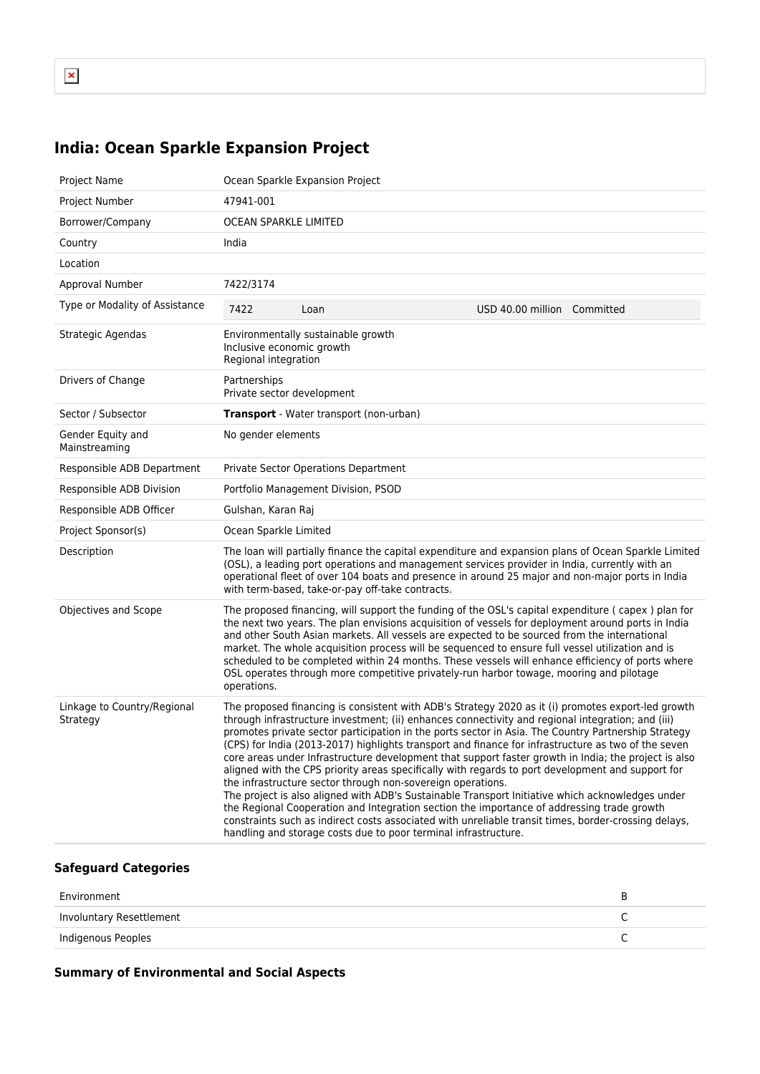## **India: Ocean Sparkle Expansion Project**

| <b>Project Name</b>                     | Ocean Sparkle Expansion Project                                                                                                                                                                                                                                                                                                                                                                                                                                                                                                                                                                                                                                                                                                                                                                                                                                                                                                                                                                                                                                                |  |
|-----------------------------------------|--------------------------------------------------------------------------------------------------------------------------------------------------------------------------------------------------------------------------------------------------------------------------------------------------------------------------------------------------------------------------------------------------------------------------------------------------------------------------------------------------------------------------------------------------------------------------------------------------------------------------------------------------------------------------------------------------------------------------------------------------------------------------------------------------------------------------------------------------------------------------------------------------------------------------------------------------------------------------------------------------------------------------------------------------------------------------------|--|
| Project Number                          | 47941-001                                                                                                                                                                                                                                                                                                                                                                                                                                                                                                                                                                                                                                                                                                                                                                                                                                                                                                                                                                                                                                                                      |  |
| Borrower/Company                        | OCEAN SPARKLE LIMITED                                                                                                                                                                                                                                                                                                                                                                                                                                                                                                                                                                                                                                                                                                                                                                                                                                                                                                                                                                                                                                                          |  |
| Country                                 | India                                                                                                                                                                                                                                                                                                                                                                                                                                                                                                                                                                                                                                                                                                                                                                                                                                                                                                                                                                                                                                                                          |  |
| Location                                |                                                                                                                                                                                                                                                                                                                                                                                                                                                                                                                                                                                                                                                                                                                                                                                                                                                                                                                                                                                                                                                                                |  |
| Approval Number                         | 7422/3174                                                                                                                                                                                                                                                                                                                                                                                                                                                                                                                                                                                                                                                                                                                                                                                                                                                                                                                                                                                                                                                                      |  |
| Type or Modality of Assistance          | 7422<br>USD 40.00 million Committed<br>Loan                                                                                                                                                                                                                                                                                                                                                                                                                                                                                                                                                                                                                                                                                                                                                                                                                                                                                                                                                                                                                                    |  |
| Strategic Agendas                       | Environmentally sustainable growth<br>Inclusive economic growth<br>Regional integration                                                                                                                                                                                                                                                                                                                                                                                                                                                                                                                                                                                                                                                                                                                                                                                                                                                                                                                                                                                        |  |
| Drivers of Change                       | Partnerships<br>Private sector development                                                                                                                                                                                                                                                                                                                                                                                                                                                                                                                                                                                                                                                                                                                                                                                                                                                                                                                                                                                                                                     |  |
| Sector / Subsector                      | <b>Transport</b> - Water transport (non-urban)                                                                                                                                                                                                                                                                                                                                                                                                                                                                                                                                                                                                                                                                                                                                                                                                                                                                                                                                                                                                                                 |  |
| Gender Equity and<br>Mainstreaming      | No gender elements                                                                                                                                                                                                                                                                                                                                                                                                                                                                                                                                                                                                                                                                                                                                                                                                                                                                                                                                                                                                                                                             |  |
| Responsible ADB Department              | <b>Private Sector Operations Department</b>                                                                                                                                                                                                                                                                                                                                                                                                                                                                                                                                                                                                                                                                                                                                                                                                                                                                                                                                                                                                                                    |  |
| Responsible ADB Division                | Portfolio Management Division, PSOD                                                                                                                                                                                                                                                                                                                                                                                                                                                                                                                                                                                                                                                                                                                                                                                                                                                                                                                                                                                                                                            |  |
| Responsible ADB Officer                 | Gulshan, Karan Raj                                                                                                                                                                                                                                                                                                                                                                                                                                                                                                                                                                                                                                                                                                                                                                                                                                                                                                                                                                                                                                                             |  |
| Project Sponsor(s)                      | Ocean Sparkle Limited                                                                                                                                                                                                                                                                                                                                                                                                                                                                                                                                                                                                                                                                                                                                                                                                                                                                                                                                                                                                                                                          |  |
| Description                             | The loan will partially finance the capital expenditure and expansion plans of Ocean Sparkle Limited<br>(OSL), a leading port operations and management services provider in India, currently with an<br>operational fleet of over 104 boats and presence in around 25 major and non-major ports in India<br>with term-based, take-or-pay off-take contracts.                                                                                                                                                                                                                                                                                                                                                                                                                                                                                                                                                                                                                                                                                                                  |  |
| Objectives and Scope                    | The proposed financing, will support the funding of the OSL's capital expenditure (capex) plan for<br>the next two years. The plan envisions acquisition of vessels for deployment around ports in India<br>and other South Asian markets. All vessels are expected to be sourced from the international<br>market. The whole acquisition process will be sequenced to ensure full vessel utilization and is<br>scheduled to be completed within 24 months. These vessels will enhance efficiency of ports where<br>OSL operates through more competitive privately-run harbor towage, mooring and pilotage<br>operations.                                                                                                                                                                                                                                                                                                                                                                                                                                                     |  |
| Linkage to Country/Regional<br>Strategy | The proposed financing is consistent with ADB's Strategy 2020 as it (i) promotes export-led growth<br>through infrastructure investment; (ii) enhances connectivity and regional integration; and (iii)<br>promotes private sector participation in the ports sector in Asia. The Country Partnership Strategy<br>(CPS) for India (2013-2017) highlights transport and finance for infrastructure as two of the seven<br>core areas under Infrastructure development that support faster growth in India; the project is also<br>aligned with the CPS priority areas specifically with regards to port development and support for<br>the infrastructure sector through non-sovereign operations.<br>The project is also aligned with ADB's Sustainable Transport Initiative which acknowledges under<br>the Regional Cooperation and Integration section the importance of addressing trade growth<br>constraints such as indirect costs associated with unreliable transit times, border-crossing delays,<br>handling and storage costs due to poor terminal infrastructure. |  |

## **Safeguard Categories**

| Environment              |  |
|--------------------------|--|
| Involuntary Resettlement |  |
| Indigenous Peoples       |  |

## **Summary of Environmental and Social Aspects**